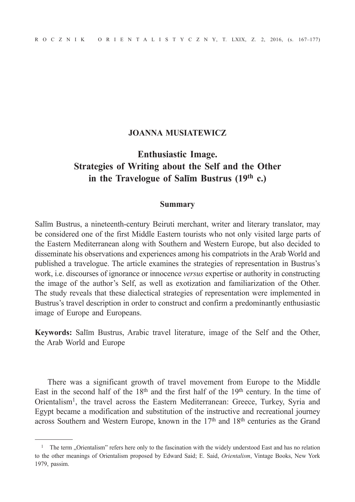# **JOANNA MUSIATEWICZ**

# **Enthusiastic Image. Strategies of Writing about the Self and the Other in the Travelogue of Salīm Bustrus (19th c.)**

#### **Summary**

Salīm Bustrus, a nineteenth-century Beiruti merchant, writer and literary translator, may be considered one of the first Middle Eastern tourists who not only visited large parts of the Eastern Mediterranean along with Southern and Western Europe, but also decided to disseminate his observations and experiences among his compatriots in the Arab World and published a travelogue. The article examines the strategies of representation in Bustrus's work, i.e. discourses of ignorance or innocence *versus* expertise or authority in constructing the image of the author's Self, as well as exotization and familiarization of the Other. The study reveals that these dialectical strategies of representation were implemented in Bustrus's travel description in order to construct and confirm a predominantly enthusiastic image of Europe and Europeans.

**Keywords:** Salīm Bustrus, Arabic travel literature, image of the Self and the Other, the Arab World and Europe

There was a significant growth of travel movement from Europe to the Middle East in the second half of the  $18<sup>th</sup>$  and the first half of the  $19<sup>th</sup>$  century. In the time of Orientalism1, the travel across the Eastern Mediterranean: Greece, Turkey, Syria and Egypt became a modification and substitution of the instructive and recreational journey across Southern and Western Europe, known in the 17th and 18th centuries as the Grand

<sup>&</sup>lt;sup>1</sup> The term . Orientalism" refers here only to the fascination with the widely understood East and has no relation to the other meanings of Orientalism proposed by Edward Said; E. Said, *Orientalism*, Vintage Books, New York 1979, passim.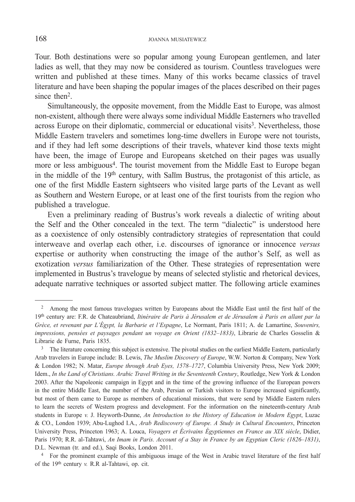Tour. Both destinations were so popular among young European gentlemen, and later ladies as well, that they may now be considered as tourism. Countless travelogues were written and published at these times. Many of this works became classics of travel literature and have been shaping the popular images of the places described on their pages since then<sup>2</sup>.

Simultaneously, the opposite movement, from the Middle East to Europe, was almost non-existent, although there were always some individual Middle Easterners who travelled across Europe on their diplomatic, commercial or educational visits<sup>3</sup>. Nevertheless, those Middle Eastern travelers and sometimes long-time dwellers in Europe were not tourists, and if they had left some descriptions of their travels, whatever kind those texts might have been, the image of Europe and Europeans sketched on their pages was usually more or less ambiguous<sup>4</sup>. The tourist movement from the Middle East to Europe began in the middle of the 19th century, with Salīm Bustrus, the protagonist of this article, as one of the first Middle Eastern sightseers who visited large parts of the Levant as well as Southern and Western Europe, or at least one of the first tourists from the region who published a travelogue.

Even a preliminary reading of Bustrus's work reveals a dialectic of writing about the Self and the Other concealed in the text. The term "dialectic" is understood here as a coexistence of only ostensibly contradictory strategies of representation that could interweave and overlap each other, i.e. discourses of ignorance or innocence *versus* expertise or authority when constructing the image of the author's Self, as well as exotization *versus* familiarization of the Other. These strategies of representation were implemented in Bustrus's travelogue by means of selected stylistic and rhetorical devices, adequate narrative techniques or assorted subject matter. The following article examines

<sup>&</sup>lt;sup>2</sup> Among the most famous travelogues written by Europeans about the Middle East until the first half of the 19th century are: F.R. de Chateaubriand, *Itinéraire de Paris à Jérusalem et de Jérusalem à Paris en allant par la Grèce, et revenant par L'Égypt, la Barbarie et l'Espagne*, Le Normant, Paris 1811; A. de Lamartine, *Souvenirs, impressions, pensées et paysages pendant un voyage en Orient (1832–1833)*, Librarie de Charles Gosselin & Librarie de Furne, Paris 1835.<br><sup>3</sup> The literature concerning this subject is extensive. The pivotal studies on the earliest Middle Eastern, particularly

Arab travelers in Europe include: B. Lewis, *The Muslim Discovery of Europe*, W.W. Norton & Company, New York & London 1982; N. Matar, *Europe through Arab Eyes, 1578–1727*, Columbia University Press, New York 2009; Idem., *In the Land of Christians. Arabic Travel Writing in the Seventeenth Century*, Routledge, New York & London 2003. After the Napoleonic campaign in Egypt and in the time of the growing influence of the European powers in the entire Middle East, the number of the Arab, Persian or Turkish visitors to Europe increased significantly, but most of them came to Europe as members of educational missions, that were send by Middle Eastern rulers to learn the secrets of Western progress and development. For the information on the nineteenth-century Arab students in Europe *v.* J. Heyworth-Dunne, *An Introduction to the History of Education in Modern Egypt*, Luzac & CO., London 1939; Abu-Lughod I.A., *Arab Rediscovery of Europe. A Study in Cultural Encounters*, Princeton University Press, Princeton 1963; A. Louca, *Voyagers et Écrivains Égyptiennes en France au XIX siècle*, Didier, Paris 1970; R.R. al-Tahtawi, *An Imam in Paris. Account of a Stay in France by an Egyptian Cleric (1826–1831)*, D.L. Newman (tr. and ed.), Saqi Books, London 2011.

<sup>4</sup> For the prominent example of this ambiguous image of the West in Arabic travel literature of the first half of the 19th century *v.* R.R al-Tahtawi, op. cit.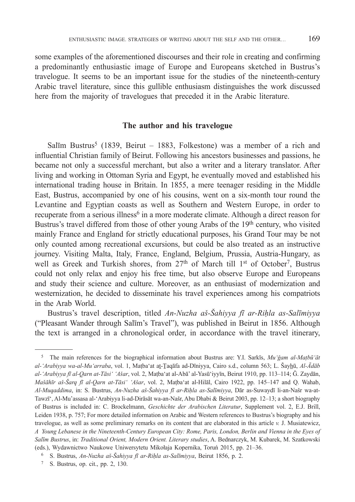some examples of the aforementioned discourses and their role in creating and confirming a predominantly enthusiastic image of Europe and Europeans sketched in Bustrus's travelogue. It seems to be an important issue for the studies of the nineteenth-century Arabic travel literature, since this gullible enthusiasm distinguishes the work discussed here from the majority of travelogues that preceded it in the Arabic literature.

#### **The author and his travelogue**

Salīm Bustrus<sup>5</sup> (1839, Beirut – 1883, Folkestone) was a member of a rich and influential Christian family of Beirut. Following his ancestors businesses and passions, he became not only a successful merchant, but also a writer and a literary translator. After living and working in Ottoman Syria and Egypt, he eventually moved and established his international trading house in Britain. In 1855, a mere teenager residing in the Middle East, Bustrus, accompanied by one of his cousins, went on a six-month tour round the Levantine and Egyptian coasts as well as Southern and Western Europe, in order to recuperate from a serious illness<sup>6</sup> in a more moderate climate. Although a direct reason for Bustrus's travel differed from those of other young Arabs of the 19th century, who visited mainly France and England for strictly educational purposes, his Grand Tour may be not only counted among recreational excursions, but could be also treated as an instructive journey. Visiting Malta, Italy, France, England, Belgium, Prussia, Austria-Hungary, as well as Greek and Turkish shores, from  $27<sup>th</sup>$  of March till 1<sup>st</sup> of October<sup>7</sup>, Bustrus could not only relax and enjoy his free time, but also observe Europe and Europeans and study their science and culture. Moreover, as an enthusiast of modernization and westernization, he decided to disseminate his travel experiences among his compatriots in the Arab World.

Bustrus's travel description, titled *An-Nuzha aš-Šahiyya fī ar-Riḥla as-Salīmiyya* ("Pleasant Wander through Salīm's Travel"), was published in Beirut in 1856. Although the text is arranged in a chronological order, in accordance with the travel itinerary,

<sup>5</sup> The main references for the biographical information about Bustrus are: Y.I. Sarkīs, *Mu'ǧam al-Maṭbū'āt al-'Arabiyya wa-al-Mu'arraba*, vol. 1, Maṭba'at aṯ-Ṯaqāfa ad-Dīniyya, Cairo s.d., column 563; L. Šayhū, *Al-Ādāb al-'Arabiyya fī al-Qarn at-Tāsi' 'Ašar*, vol. 2, Maṭba'at al-Abā' al-Yasū'iyyīn, Beirut 1910, pp. 113–114; Ǧ. Zaydān, *Mašāhīr aš-Šarq fī al-Qarn at-Tāsi' 'Ašar*, vol. 2, Maṭba'at al-Hilāl, Cairo 1922, pp. 145–147 and Q. Wahab, *Al-Muqaddima*, in: S. Bustrus, *An-Nuzha aš-Šahiyya fī ar-Riḥla as-Salīmiyya*, Dār as-Suwaydī li-an-Našr wa-at-Tawzī', Al-Mu'assasa al-'Arabiyya li-ad-Dirāsāt wa-an-Našr, Abu Dhabi & Beirut 2003, pp. 12–13; a short biography of Bustrus is included in: C. Brockelmann, *Geschichte der Arabischen Literatur*, Supplement vol. 2, E.J. Brill, Leiden 1938, p. 757; For more detailed information on Arabic and Western references to Bustrus's biography and his travelogue, as well as some preliminary remarks on its content that are elaborated in this article *v.* J. Musiatewicz, *A Young Lebanese in the Nineteenth-Century European City: Rome, Paris, London, Berlin and Vienna in the Eyes of Salīm Bustrus*, in: *Traditional Orient, Modern Orient. Literary studies*, A. Bednarczyk, M. Kubarek, M. Szatkowski (eds.), Wydawnictwo Naukowe Uniwersytetu Mikołaja Kopernika, Toruń 2015, pp. 21–36.

<sup>6</sup> S. Bustrus, *An-Nuzha aš-Šahiyya fī ar-Riḥla as-Salīmiyya*, Beirut 1856, p. 2.

<sup>7</sup> S. Bustrus, op. cit., pp. 2, 130.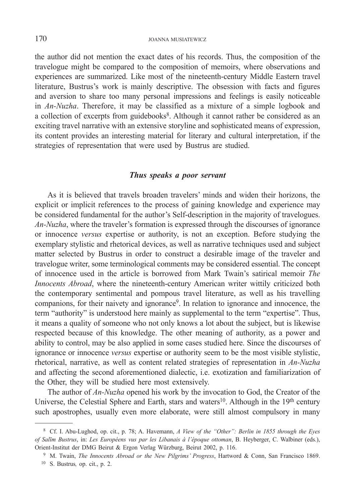the author did not mention the exact dates of his records. Thus, the composition of the travelogue might be compared to the composition of memoirs, where observations and experiences are summarized. Like most of the nineteenth-century Middle Eastern travel literature, Bustrus's work is mainly descriptive. The obsession with facts and figures and aversion to share too many personal impressions and feelings is easily noticeable in *An-Nuzha*. Therefore, it may be classified as a mixture of a simple logbook and a collection of excerpts from guidebooks<sup>8</sup>. Although it cannot rather be considered as an exciting travel narrative with an extensive storyline and sophisticated means of expression, its content provides an interesting material for literary and cultural interpretation, if the strategies of representation that were used by Bustrus are studied.

# *Thus speaks a poor servant*

As it is believed that travels broaden travelers' minds and widen their horizons, the explicit or implicit references to the process of gaining knowledge and experience may be considered fundamental for the author's Self-description in the majority of travelogues. *An-Nuzha*, where the traveler's formation is expressed through the discourses of ignorance or innocence *versus* expertise or authority, is not an exception. Before studying the exemplary stylistic and rhetorical devices, as well as narrative techniques used and subject matter selected by Bustrus in order to construct a desirable image of the traveler and travelogue writer, some terminological comments may be considered essential. The concept of innocence used in the article is borrowed from Mark Twain's satirical memoir *The Innocents Abroad*, where the nineteenth-century American writer wittily criticized both the contemporary sentimental and pompous travel literature, as well as his travelling companions, for their naivety and ignorance<sup>9</sup>. In relation to ignorance and innocence, the term "authority" is understood here mainly as supplemental to the term "expertise". Thus, it means a quality of someone who not only knows a lot about the subject, but is likewise respected because of this knowledge. The other meaning of authority, as a power and ability to control, may be also applied in some cases studied here. Since the discourses of ignorance or innocence *versus* expertise or authority seem to be the most visible stylistic, rhetorical, narrative, as well as content related strategies of representation in *An-Nuzha*  and affecting the second aforementioned dialectic, i.e. exotization and familiarization of the Other, they will be studied here most extensively.

The author of *An-Nuzha* opened his work by the invocation to God, the Creator of the Universe, the Celestial Sphere and Earth, stars and waters<sup>10</sup>. Although in the 19<sup>th</sup> century such apostrophes, usually even more elaborate, were still almost compulsory in many

 <sup>8</sup> Cf. I. Abu-Lughod, op. cit., p. 78; A. Havemann, *A View of the "Other": Berlin in 1855 through the Eyes of Salīm Bustrus*, in: *Les Européens vus par les Libanais à l'époque ottoman*, B. Heyberger, C. Walbiner (eds.), Orient-Institut der DMG Beirut & Ergon Verlag Würzburg, Beirut 2002, p. 116. 9 M. Twain, *The Innocents Abroad or the New Pilgrims' Progress*, Hartword & Conn, San Francisco 1869.

<sup>10</sup> S. Bustrus*,* op. cit., p. 2.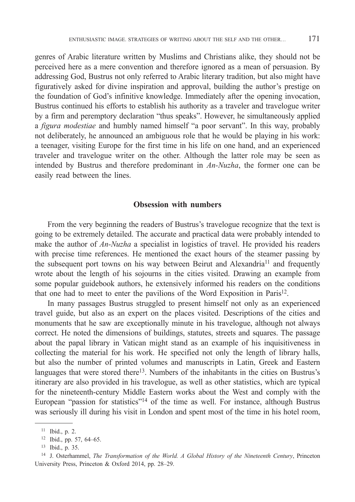genres of Arabic literature written by Muslims and Christians alike, they should not be perceived here as a mere convention and therefore ignored as a mean of persuasion. By addressing God, Bustrus not only referred to Arabic literary tradition, but also might have figuratively asked for divine inspiration and approval, building the author's prestige on the foundation of God's infinitive knowledge. Immediately after the opening invocation, Bustrus continued his efforts to establish his authority as a traveler and travelogue writer by a firm and peremptory declaration "thus speaks". However, he simultaneously applied a *figura modestiae* and humbly named himself "a poor servant". In this way, probably not deliberately, he announced an ambiguous role that he would be playing in his work: a teenager, visiting Europe for the first time in his life on one hand, and an experienced traveler and travelogue writer on the other. Although the latter role may be seen as intended by Bustrus and therefore predominant in *An-Nuzha*, the former one can be easily read between the lines.

#### **Obsession with numbers**

From the very beginning the readers of Bustrus's travelogue recognize that the text is going to be extremely detailed. The accurate and practical data were probably intended to make the author of *An-Nuzha* a specialist in logistics of travel. He provided his readers with precise time references. He mentioned the exact hours of the steamer passing by the subsequent port towns on his way between Beirut and Alexandria<sup>11</sup> and frequently wrote about the length of his sojourns in the cities visited. Drawing an example from some popular guidebook authors, he extensively informed his readers on the conditions that one had to meet to enter the pavilions of the Word Exposition in Paris<sup>12</sup>.

In many passages Bustrus struggled to present himself not only as an experienced travel guide, but also as an expert on the places visited. Descriptions of the cities and monuments that he saw are exceptionally minute in his travelogue, although not always correct. He noted the dimensions of buildings, statutes, streets and squares. The passage about the papal library in Vatican might stand as an example of his inquisitiveness in collecting the material for his work. He specified not only the length of library halls, but also the number of printed volumes and manuscripts in Latin, Greek and Eastern languages that were stored there<sup>13</sup>. Numbers of the inhabitants in the cities on Bustrus's itinerary are also provided in his travelogue, as well as other statistics, which are typical for the nineteenth-century Middle Eastern works about the West and comply with the European "passion for statistics"14 of the time as well. For instance, although Bustrus was seriously ill during his visit in London and spent most of the time in his hotel room,

<sup>11</sup> Ibid., p. 2.

<sup>12</sup> Ibid., pp. 57, 64–65.

<sup>13</sup> Ibid., p. 35.

<sup>14</sup> J. Osterhammel, *The Transformation of the World. A Global History of the Nineteenth Century*, Princeton University Press, Princeton & Oxford 2014, pp. 28–29.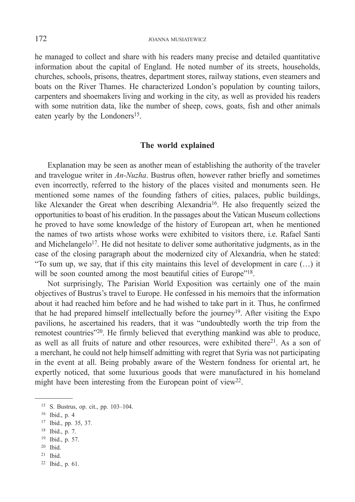he managed to collect and share with his readers many precise and detailed quantitative information about the capital of England. He noted number of its streets, households, churches, schools, prisons, theatres, department stores, railway stations, even steamers and boats on the River Thames. He characterized London's population by counting tailors, carpenters and shoemakers living and working in the city, as well as provided his readers with some nutrition data, like the number of sheep, cows, goats, fish and other animals eaten yearly by the Londoners<sup>15</sup>.

# **The world explained**

Explanation may be seen as another mean of establishing the authority of the traveler and travelogue writer in *An-Nuzha*. Bustrus often, however rather briefly and sometimes even incorrectly, referred to the history of the places visited and monuments seen. He mentioned some names of the founding fathers of cities, palaces, public buildings, like Alexander the Great when describing Alexandria16. He also frequently seized the opportunities to boast of his erudition. In the passages about the Vatican Museum collections he proved to have some knowledge of the history of European art, when he mentioned the names of two artists whose works were exhibited to visitors there, i.e. Rafael Santi and Michelangelo<sup>17</sup>. He did not hesitate to deliver some authoritative judgments, as in the case of the closing paragraph about the modernized city of Alexandria, when he stated: "To sum up, we say, that if this city maintains this level of development in care (…) it will be soon counted among the most beautiful cities of Europe"<sup>18</sup>.

Not surprisingly, The Parisian World Exposition was certainly one of the main objectives of Bustrus's travel to Europe. He confessed in his memoirs that the information about it had reached him before and he had wished to take part in it. Thus, he confirmed that he had prepared himself intellectually before the journey19. After visiting the Expo pavilions, he ascertained his readers, that it was "undoubtedly worth the trip from the remotest countries"20. He firmly believed that everything mankind was able to produce, as well as all fruits of nature and other resources, were exhibited there $2<sup>1</sup>$ . As a son of a merchant, he could not help himself admitting with regret that Syria was not participating in the event at all. Being probably aware of the Western fondness for oriental art, he expertly noticed, that some luxurious goods that were manufactured in his homeland might have been interesting from the European point of view<sup>22</sup>.

 $21$  Ibid.

<sup>15</sup> S. Bustrus, op. cit., pp. 103–104.

<sup>16</sup> Ibid., p. 4

<sup>17</sup> Ibid., pp. 35, 37.

<sup>18</sup> Ibid., p. 7.

<sup>19</sup> Ibid., p. 57.

<sup>20</sup> Ibid.

<sup>22</sup> Ibid., p. 61.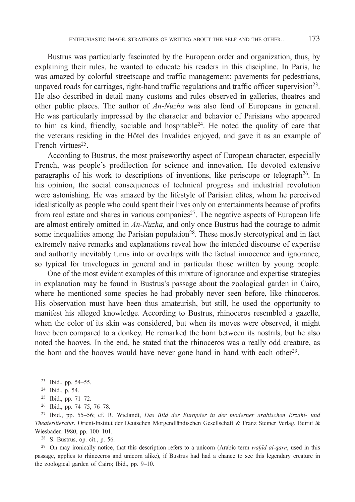Bustrus was particularly fascinated by the European order and organization, thus, by explaining their rules, he wanted to educate his readers in this discipline. In Paris, he was amazed by colorful streetscape and traffic management: pavements for pedestrians, unpaved roads for carriages, right-hand traffic regulations and traffic officer supervision23. He also described in detail many customs and rules observed in galleries, theatres and other public places. The author of *An-Nuzha* was also fond of Europeans in general. He was particularly impressed by the character and behavior of Parisians who appeared to him as kind, friendly, sociable and hospitable24. He noted the quality of care that the veterans residing in the Hôtel des Invalides enjoyed, and gave it as an example of French virtues<sup>25</sup>.

According to Bustrus, the most praiseworthy aspect of European character, especially French, was people's predilection for science and innovation. He devoted extensive paragraphs of his work to descriptions of inventions, like periscope or telegraph26. In his opinion, the social consequences of technical progress and industrial revolution were astonishing. He was amazed by the lifestyle of Parisian elites, whom he perceived idealistically as people who could spent their lives only on entertainments because of profits from real estate and shares in various companies<sup>27</sup>. The negative aspects of European life are almost entirely omitted in *An-Nuzha,* and only once Bustrus had the courage to admit some inequalities among the Parisian population<sup>28</sup>. These mostly stereotypical and in fact extremely naive remarks and explanations reveal how the intended discourse of expertise and authority inevitably turns into or overlaps with the factual innocence and ignorance, so typical for travelogues in general and in particular those written by young people.

One of the most evident examples of this mixture of ignorance and expertise strategies in explanation may be found in Bustrus's passage about the zoological garden in Cairo, where he mentioned some species he had probably never seen before, like rhinoceros. His observation must have been thus amateurish, but still, he used the opportunity to manifest his alleged knowledge. According to Bustrus, rhinoceros resembled a gazelle, when the color of its skin was considered, but when its moves were observed, it might have been compared to a donkey. He remarked the horn between its nostrils, but he also noted the hooves. In the end, he stated that the rhinoceros was a really odd creature, as the horn and the hooves would have never gone hand in hand with each other<sup>29</sup>.

26 Ibid., pp. 74–75, 76–78.

28 S. Bustrus, op. cit., p. 56.

29 On may ironically notice, that this description refers to a unicorn (Arabic term *waḥīd al-qarn*, used in this passage, applies to rhineceros and unicorn alike), if Bustrus had had a chance to see this legendary creature in the zoological garden of Cairo; Ibid., pp. 9–10.

<sup>23</sup> Ibid., pp. 54–55.

<sup>24</sup> Ibid., p. 54.

<sup>25</sup> Ibid., pp. 71–72.

<sup>27</sup> Ibid., pp. 55–56; cf*.* R. Wielandt, *Das Bild der Europäer in der moderner arabischen Erzähl- und Theaterliteratur*, Orient-Institut der Deutschen Morgendländischen Gesellschaft & Franz Steiner Verlag, Beirut & Wiesbaden 1980, pp. 100–101.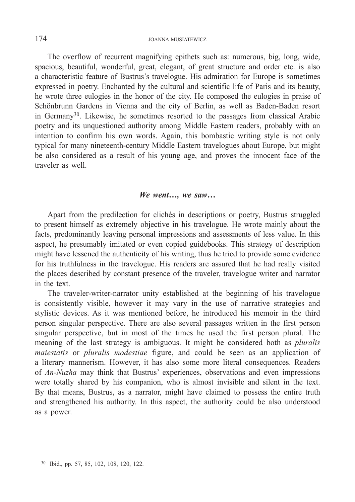The overflow of recurrent magnifying epithets such as: numerous, big, long, wide, spacious, beautiful, wonderful, great, elegant, of great structure and order etc. is also a characteristic feature of Bustrus's travelogue. His admiration for Europe is sometimes expressed in poetry. Enchanted by the cultural and scientific life of Paris and its beauty, he wrote three eulogies in the honor of the city. He composed the eulogies in praise of Schönbrunn Gardens in Vienna and the city of Berlin, as well as Baden-Baden resort in Germany30. Likewise, he sometimes resorted to the passages from classical Arabic poetry and its unquestioned authority among Middle Eastern readers, probably with an intention to confirm his own words. Again, this bombastic writing style is not only typical for many nineteenth-century Middle Eastern travelogues about Europe, but might be also considered as a result of his young age, and proves the innocent face of the traveler as well.

#### *We went…, we saw…*

Apart from the predilection for clichés in descriptions or poetry, Bustrus struggled to present himself as extremely objective in his travelogue. He wrote mainly about the facts, predominantly leaving personal impressions and assessments of less value. In this aspect, he presumably imitated or even copied guidebooks. This strategy of description might have lessened the authenticity of his writing, thus he tried to provide some evidence for his truthfulness in the travelogue. His readers are assured that he had really visited the places described by constant presence of the traveler, travelogue writer and narrator in the text.

The traveler-writer-narrator unity established at the beginning of his travelogue is consistently visible, however it may vary in the use of narrative strategies and stylistic devices. As it was mentioned before, he introduced his memoir in the third person singular perspective. There are also several passages written in the first person singular perspective, but in most of the times he used the first person plural. The meaning of the last strategy is ambiguous. It might be considered both as *pluralis maiestatis* or *pluralis modestiae* figure, and could be seen as an application of a literary mannerism. However, it has also some more literal consequences. Readers of *An-Nuzha* may think that Bustrus' experiences, observations and even impressions were totally shared by his companion, who is almost invisible and silent in the text. By that means, Bustrus, as a narrator, might have claimed to possess the entire truth and strengthened his authority. In this aspect, the authority could be also understood as a power.

<sup>30</sup> Ibid., pp. 57, 85, 102, 108, 120, 122.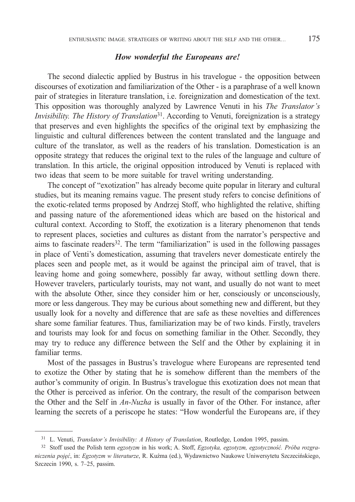#### *How wonderful the Europeans are!*

The second dialectic applied by Bustrus in his travelogue - the opposition between discourses of exotization and familiarization of the Other - is a paraphrase of a well known pair of strategies in literature translation, i.e. foreignization and domestication of the text. This opposition was thoroughly analyzed by Lawrence Venuti in his *The Translator's Invisibility. The History of Translation*<sup>31</sup>. According to Venuti, foreignization is a strategy that preserves and even highlights the specifics of the original text by emphasizing the linguistic and cultural differences between the content translated and the language and culture of the translator, as well as the readers of his translation. Domestication is an opposite strategy that reduces the original text to the rules of the language and culture of translation. In this article, the original opposition introduced by Venuti is replaced with two ideas that seem to be more suitable for travel writing understanding.

The concept of "exotization" has already become quite popular in literary and cultural studies, but its meaning remains vague. The present study refers to concise definitions of the exotic-related terms proposed by Andrzej Stoff, who highlighted the relative, shifting and passing nature of the aforementioned ideas which are based on the historical and cultural context. According to Stoff, the exotization is a literary phenomenon that tends to represent places, societies and cultures as distant from the narrator's perspective and aims to fascinate readers32. The term "familiarization" is used in the following passages in place of Venti's domestication, assuming that travelers never domesticate entirely the places seen and people met, as it would be against the principal aim of travel, that is leaving home and going somewhere, possibly far away, without settling down there. However travelers, particularly tourists, may not want, and usually do not want to meet with the absolute Other, since they consider him or her, consciously or unconsciously, more or less dangerous. They may be curious about something new and different, but they usually look for a novelty and difference that are safe as these novelties and differences share some familiar features. Thus, familiarization may be of two kinds. Firstly, travelers and tourists may look for and focus on something familiar in the Other. Secondly, they may try to reduce any difference between the Self and the Other by explaining it in familiar terms.

Most of the passages in Bustrus's travelogue where Europeans are represented tend to exotize the Other by stating that he is somehow different than the members of the author's community of origin. In Bustrus's travelogue this exotization does not mean that the Other is perceived as inferior. On the contrary, the result of the comparison between the Other and the Self in *An-Nuzha* is usually in favor of the Other. For instance, after learning the secrets of a periscope he states: "How wonderful the Europeans are, if they

<sup>31</sup> L. Venuti, *Translator's Invisibility: A History of Translation*, Routledge, London 1995, passim.

<sup>32</sup> Stoff used the Polish term *egzotyzm* in his work; A. Stoff, *Egzotyka, egzotyzm, egzotyczność. Próba rozgraniczenia pojęć*, in: *Egzotyzm w literaturze*, R. Kuźma (ed.), Wydawnictwo Naukowe Uniwersytetu Szczecińskiego, Szczecin 1990, s. 7–25, passim.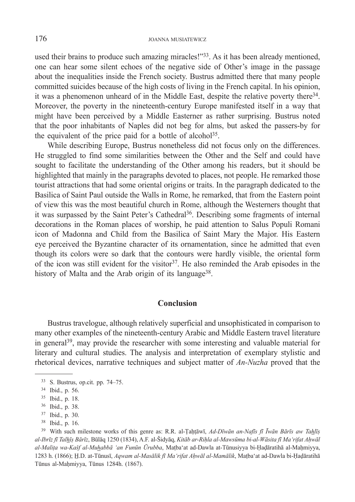used their brains to produce such amazing miracles!"<sup>33</sup>. As it has been already mentioned, one can hear some silent echoes of the negative side of Other's image in the passage about the inequalities inside the French society. Bustrus admitted there that many people committed suicides because of the high costs of living in the French capital. In his opinion, it was a phenomenon unheard of in the Middle East, despite the relative poverty there34. Moreover, the poverty in the nineteenth-century Europe manifested itself in a way that might have been perceived by a Middle Easterner as rather surprising. Bustrus noted that the poor inhabitants of Naples did not beg for alms, but asked the passers-by for the equivalent of the price paid for a bottle of alcohol<sup>35</sup>.

While describing Europe, Bustrus nonetheless did not focus only on the differences. He struggled to find some similarities between the Other and the Self and could have sought to facilitate the understanding of the Other among his readers, but it should be highlighted that mainly in the paragraphs devoted to places, not people. He remarked those tourist attractions that had some oriental origins or traits. In the paragraph dedicated to the Basilica of Saint Paul outside the Walls in Rome, he remarked, that from the Eastern point of view this was the most beautiful church in Rome, although the Westerners thought that it was surpassed by the Saint Peter's Cathedral<sup>36</sup>. Describing some fragments of internal decorations in the Roman places of worship, he paid attention to Salus Populi Romani icon of Madonna and Child from the Basilica of Saint Mary the Major. His Eastern eye perceived the Byzantine character of its ornamentation, since he admitted that even though its colors were so dark that the contours were hardly visible, the oriental form of the icon was still evident for the visitor<sup>37</sup>. He also reminded the Arab episodes in the history of Malta and the Arab origin of its language<sup>38</sup>.

### **Conclusion**

Bustrus travelogue, although relatively superficial and unsophisticated in comparison to many other examples of the nineteenth-century Arabic and Middle Eastern travel literature in general<sup>39</sup>, may provide the researcher with some interesting and valuable material for literary and cultural studies. The analysis and interpretation of exemplary stylistic and rhetorical devices, narrative techniques and subject matter of *An-Nuzha* proved that the

<sup>33</sup> S. Bustrus, op.cit. pp. 74–75.

<sup>34</sup> Ibid., p. 56.

<sup>35</sup> Ibid., p. 18.

<sup>36</sup> Ibid., p. 38.

<sup>37</sup> Ibid., p. 30.

<sup>38</sup> Ibid., p. 16.

<sup>39</sup> With such milestone works of this genre as: R.R. al-Ṭaḥṭāwī, *Ad-Dīwān an-Nafīs fī Īwān Bārīs aw Tahlīṣ* al-Ibrīz fī Talhīş Bārīz, Būlāq 1250 (1834), A.F. al-Šidyāq, Kitāb ar-Rihla al-Mawsūma bi-al-Wāsita fī Maʻrifat Ahwāl *al-Maliṭa wa-Kašf al-Muhabbā 'an Funūn Ūrubba*, Maṭba'at ad-Dawla at-Tūnusiyya bi-Ḥaḍāratihā al-Maḥmiyya, 1283 h. (1866); H̲.D. at-Tūnusī, *Aqwam al-Masā lik fī Maʻrifat Aḥ wā l al-Mamā lik*, Maṭba'at ad-Dawla bi-Ḥaḍāratihā Tūnus al-Maḥmiyya, Tūnus 1284h. (1867).